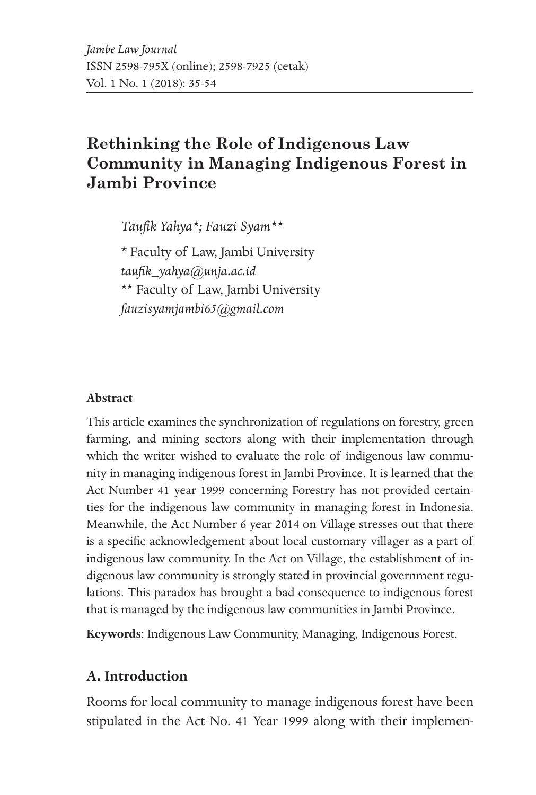# **Rethinking the Role of Indigenous Law Community in Managing Indigenous Forest in Jambi Province**

*Taufik Yahya\*; Fauzi Syam\*\**

\* Faculty of Law, Jambi University *taufik\_yahya@unja.ac.id* \*\* Faculty of Law, Jambi University *fauzisyamjambi65@gmail.com*

#### **Abstract**

This article examines the synchronization of regulations on forestry, green farming, and mining sectors along with their implementation through which the writer wished to evaluate the role of indigenous law community in managing indigenous forest in Jambi Province. It is learned that the Act Number 41 year 1999 concerning Forestry has not provided certainties for the indigenous law community in managing forest in Indonesia. Meanwhile, the Act Number 6 year 2014 on Village stresses out that there is a specific acknowledgement about local customary villager as a part of indigenous law community. In the Act on Village, the establishment of indigenous law community is strongly stated in provincial government regulations. This paradox has brought a bad consequence to indigenous forest that is managed by the indigenous law communities in Jambi Province.

**Keywords**: Indigenous Law Community, Managing, Indigenous Forest.

### **A. Introduction**

Rooms for local community to manage indigenous forest have been stipulated in the Act No. 41 Year 1999 along with their implemen-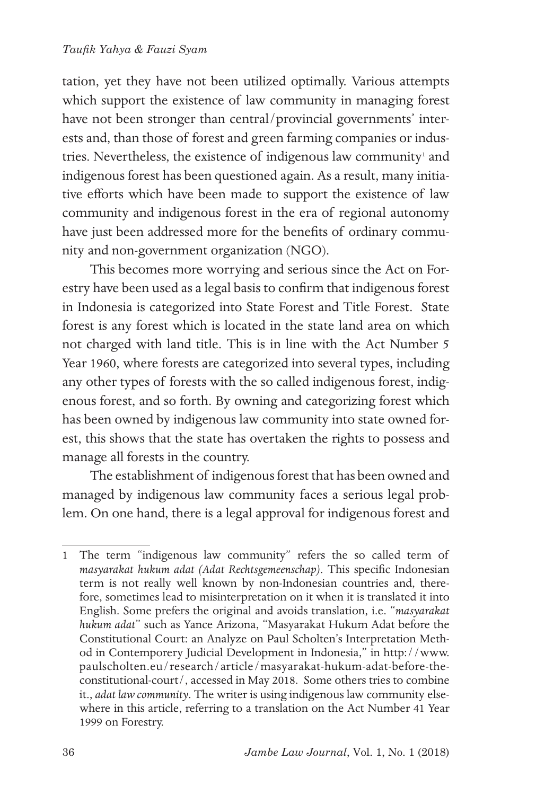tation, yet they have not been utilized optimally. Various attempts which support the existence of law community in managing forest have not been stronger than central/provincial governments' interests and, than those of forest and green farming companies or industries. Nevertheless, the existence of indigenous law community<sup>1</sup> and indigenous forest has been questioned again. As a result, many initiative efforts which have been made to support the existence of law community and indigenous forest in the era of regional autonomy have just been addressed more for the benefits of ordinary community and non-government organization (NGO).

This becomes more worrying and serious since the Act on Forestry have been used as a legal basis to confirm that indigenous forest in Indonesia is categorized into State Forest and Title Forest. State forest is any forest which is located in the state land area on which not charged with land title. This is in line with the Act Number 5 Year 1960, where forests are categorized into several types, including any other types of forests with the so called indigenous forest, indigenous forest, and so forth. By owning and categorizing forest which has been owned by indigenous law community into state owned forest, this shows that the state has overtaken the rights to possess and manage all forests in the country.

The establishment of indigenous forest that has been owned and managed by indigenous law community faces a serious legal problem. On one hand, there is a legal approval for indigenous forest and

<sup>1</sup> The term "indigenous law community" refers the so called term of *masyarakat hukum adat (Adat Rechtsgemeenschap)*. This specific Indonesian term is not really well known by non-Indonesian countries and, therefore, sometimes lead to misinterpretation on it when it is translated it into English. Some prefers the original and avoids translation, i.e. "*masyarakat hukum adat*" such as Yance Arizona, "Masyarakat Hukum Adat before the Constitutional Court: an Analyze on Paul Scholten's Interpretation Method in Contemporery Judicial Development in Indonesia," in http://www. paulscholten.eu/research/article/masyarakat-hukum-adat-before-theconstitutional-court/, accessed in May 2018. Some others tries to combine it., *adat law community*. The writer is using indigenous law community elsewhere in this article, referring to a translation on the Act Number 41 Year 1999 on Forestry.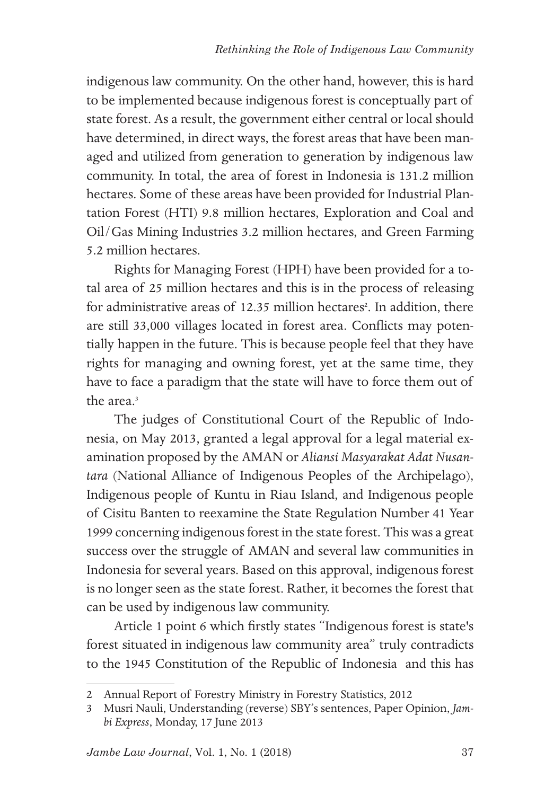indigenous law community. On the other hand, however, this is hard to be implemented because indigenous forest is conceptually part of state forest. As a result, the government either central or local should have determined, in direct ways, the forest areas that have been managed and utilized from generation to generation by indigenous law community. In total, the area of forest in Indonesia is 131.2 million hectares. Some of these areas have been provided for Industrial Plantation Forest (HTI) 9.8 million hectares, Exploration and Coal and Oil/Gas Mining Industries 3.2 million hectares, and Green Farming 5.2 million hectares.

Rights for Managing Forest (HPH) have been provided for a total area of 25 million hectares and this is in the process of releasing for administrative areas of 12.35 million hectares<sup>2</sup>. In addition, there are still 33,000 villages located in forest area. Conflicts may potentially happen in the future. This is because people feel that they have rights for managing and owning forest, yet at the same time, they have to face a paradigm that the state will have to force them out of the area $3$ 

The judges of Constitutional Court of the Republic of Indonesia, on May 2013, granted a legal approval for a legal material examination proposed by the AMAN or *Aliansi Masyarakat Adat Nusantara* (National Alliance of Indigenous Peoples of the Archipelago), Indigenous people of Kuntu in Riau Island, and Indigenous people of Cisitu Banten to reexamine the State Regulation Number 41 Year 1999 concerning indigenous forest in the state forest. This was a great success over the struggle of AMAN and several law communities in Indonesia for several years. Based on this approval, indigenous forest is no longer seen as the state forest. Rather, it becomes the forest that can be used by indigenous law community.

Article 1 point 6 which firstly states "Indigenous forest is state's forest situated in indigenous law community area" truly contradicts to the 1945 Constitution of the Republic of Indonesia and this has

<sup>2</sup> Annual Report of Forestry Ministry in Forestry Statistics, 2012

<sup>3</sup> Musri Nauli, Understanding (reverse) SBY's sentences, Paper Opinion, *Jambi Express*, Monday, 17 June 2013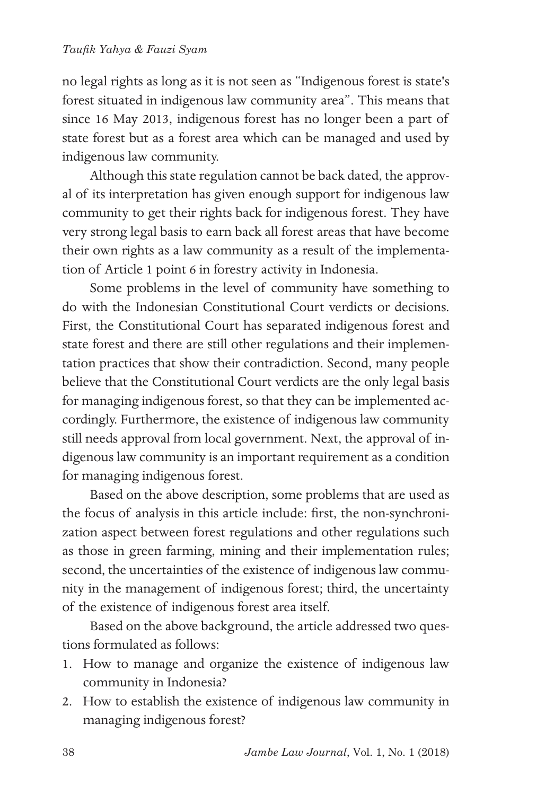no legal rights as long as it is not seen as "Indigenous forest is state's forest situated in indigenous law community area". This means that since 16 May 2013, indigenous forest has no longer been a part of state forest but as a forest area which can be managed and used by indigenous law community.

Although this state regulation cannot be back dated, the approval of its interpretation has given enough support for indigenous law community to get their rights back for indigenous forest. They have very strong legal basis to earn back all forest areas that have become their own rights as a law community as a result of the implementation of Article 1 point 6 in forestry activity in Indonesia.

Some problems in the level of community have something to do with the Indonesian Constitutional Court verdicts or decisions. First, the Constitutional Court has separated indigenous forest and state forest and there are still other regulations and their implementation practices that show their contradiction. Second, many people believe that the Constitutional Court verdicts are the only legal basis for managing indigenous forest, so that they can be implemented accordingly. Furthermore, the existence of indigenous law community still needs approval from local government. Next, the approval of indigenous law community is an important requirement as a condition for managing indigenous forest.

Based on the above description, some problems that are used as the focus of analysis in this article include: first, the non-synchronization aspect between forest regulations and other regulations such as those in green farming, mining and their implementation rules; second, the uncertainties of the existence of indigenous law community in the management of indigenous forest; third, the uncertainty of the existence of indigenous forest area itself.

Based on the above background, the article addressed two questions formulated as follows:

- 1. How to manage and organize the existence of indigenous law community in Indonesia?
- 2. How to establish the existence of indigenous law community in managing indigenous forest?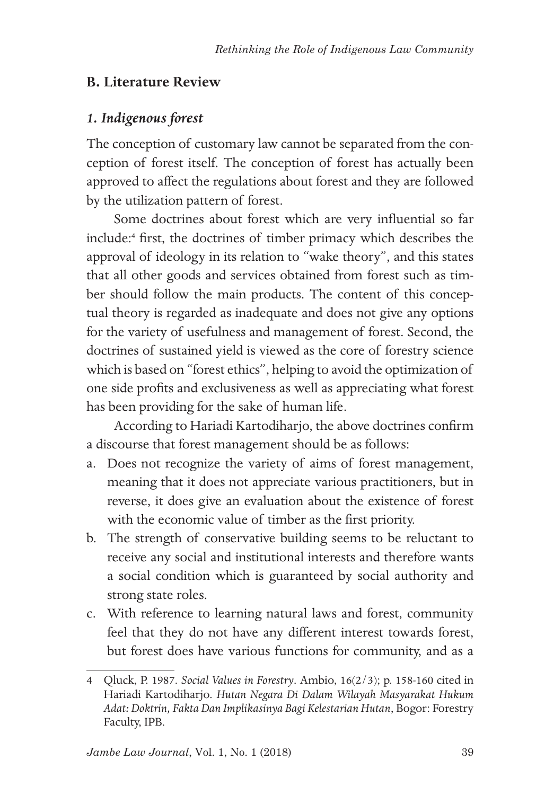## **B. Literature Review**

## *1. Indigenous forest*

The conception of customary law cannot be separated from the conception of forest itself. The conception of forest has actually been approved to affect the regulations about forest and they are followed by the utilization pattern of forest.

Some doctrines about forest which are very influential so far include:<sup>4</sup> first, the doctrines of timber primacy which describes the approval of ideology in its relation to "wake theory", and this states that all other goods and services obtained from forest such as timber should follow the main products. The content of this conceptual theory is regarded as inadequate and does not give any options for the variety of usefulness and management of forest. Second, the doctrines of sustained yield is viewed as the core of forestry science which is based on "forest ethics", helping to avoid the optimization of one side profits and exclusiveness as well as appreciating what forest has been providing for the sake of human life.

According to Hariadi Kartodiharjo, the above doctrines confirm a discourse that forest management should be as follows:

- a. Does not recognize the variety of aims of forest management, meaning that it does not appreciate various practitioners, but in reverse, it does give an evaluation about the existence of forest with the economic value of timber as the first priority.
- b. The strength of conservative building seems to be reluctant to receive any social and institutional interests and therefore wants a social condition which is guaranteed by social authority and strong state roles.
- c. With reference to learning natural laws and forest, community feel that they do not have any different interest towards forest, but forest does have various functions for community, and as a

<sup>4</sup> Qluck, P. 1987. *Social Values in Forestry*. Ambio, 16(2/3); p. 158-160 cited in Hariadi Kartodiharjo. *Hutan Negara Di Dalam Wilayah Masyarakat Hukum Adat: Doktrin, Fakta Dan Implikasinya Bagi Kelestarian Hutan*, Bogor: Forestry Faculty, IPB.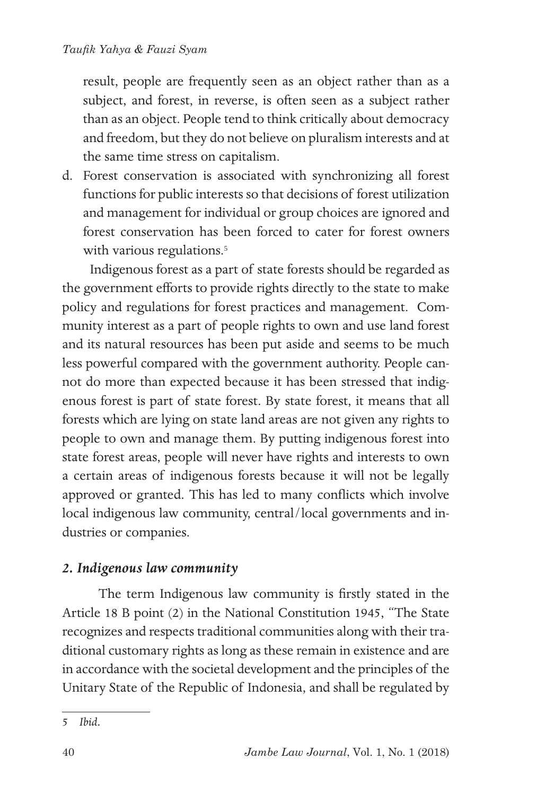result, people are frequently seen as an object rather than as a subject, and forest, in reverse, is often seen as a subject rather than as an object. People tend to think critically about democracy and freedom, but they do not believe on pluralism interests and at the same time stress on capitalism.

d. Forest conservation is associated with synchronizing all forest functions for public interests so that decisions of forest utilization and management for individual or group choices are ignored and forest conservation has been forced to cater for forest owners with various regulations.<sup>5</sup>

Indigenous forest as a part of state forests should be regarded as the government efforts to provide rights directly to the state to make policy and regulations for forest practices and management. Community interest as a part of people rights to own and use land forest and its natural resources has been put aside and seems to be much less powerful compared with the government authority. People cannot do more than expected because it has been stressed that indigenous forest is part of state forest. By state forest, it means that all forests which are lying on state land areas are not given any rights to people to own and manage them. By putting indigenous forest into state forest areas, people will never have rights and interests to own a certain areas of indigenous forests because it will not be legally approved or granted. This has led to many conflicts which involve local indigenous law community, central/local governments and industries or companies.

## *2. Indigenous law community*

 The term Indigenous law community is firstly stated in the Article 18 B point (2) in the National Constitution 1945, "The State recognizes and respects traditional communities along with their traditional customary rights as long as these remain in existence and are in accordance with the societal development and the principles of the Unitary State of the Republic of Indonesia, and shall be regulated by

<sup>5</sup> *Ibid.*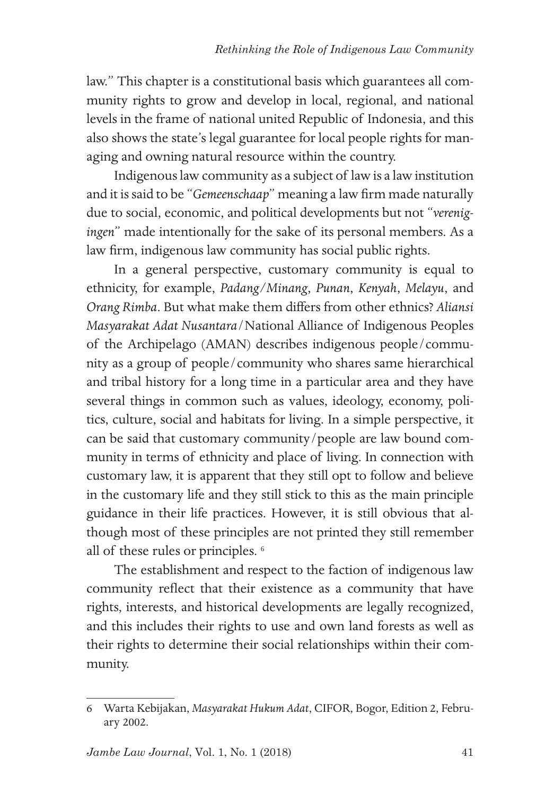law." This chapter is a constitutional basis which guarantees all community rights to grow and develop in local, regional, and national levels in the frame of national united Republic of Indonesia, and this also shows the state's legal guarantee for local people rights for managing and owning natural resource within the country.

Indigenous law community as a subject of law is a law institution and it is said to be "*Gemeenschaap*" meaning a law firm made naturally due to social, economic, and political developments but not "*verenigingen*" made intentionally for the sake of its personal members. As a law firm, indigenous law community has social public rights.

In a general perspective, customary community is equal to ethnicity, for example, *Padang/Minang*, *Punan*, *Kenyah*, *Melayu*, and *Orang Rimba*. But what make them differs from other ethnics? *Aliansi Masyarakat Adat Nusantara*/National Alliance of Indigenous Peoples of the Archipelago (AMAN) describes indigenous people/community as a group of people/community who shares same hierarchical and tribal history for a long time in a particular area and they have several things in common such as values, ideology, economy, politics, culture, social and habitats for living. In a simple perspective, it can be said that customary community/people are law bound community in terms of ethnicity and place of living. In connection with customary law, it is apparent that they still opt to follow and believe in the customary life and they still stick to this as the main principle guidance in their life practices. However, it is still obvious that although most of these principles are not printed they still remember all of these rules or principles. <sup>6</sup>

The establishment and respect to the faction of indigenous law community reflect that their existence as a community that have rights, interests, and historical developments are legally recognized, and this includes their rights to use and own land forests as well as their rights to determine their social relationships within their community.

<sup>6</sup> Warta Kebijakan, *Masyarakat Hukum Adat*, CIFOR, Bogor, Edition 2, February 2002.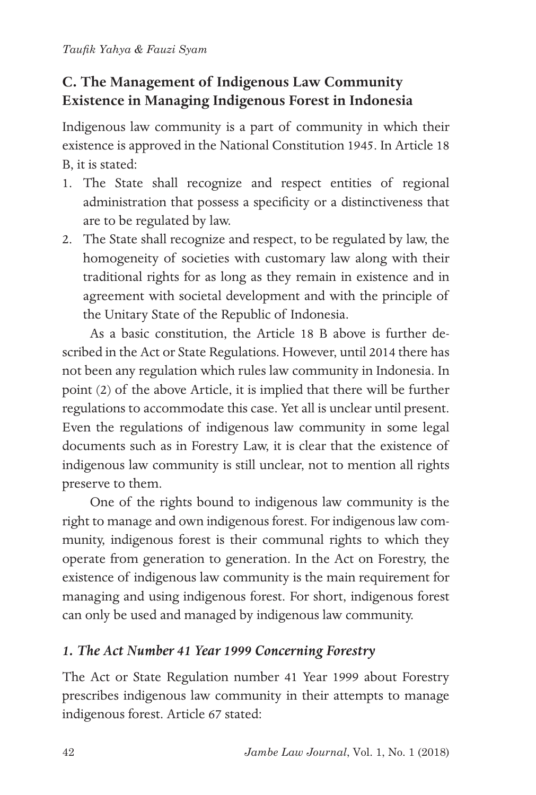## **C. The Management of Indigenous Law Community Existence in Managing Indigenous Forest in Indonesia**

Indigenous law community is a part of community in which their existence is approved in the National Constitution 1945. In Article 18 B, it is stated:

- 1. The State shall recognize and respect entities of regional administration that possess a specificity or a distinctiveness that are to be regulated by law.
- 2. The State shall recognize and respect, to be regulated by law, the homogeneity of societies with customary law along with their traditional rights for as long as they remain in existence and in agreement with societal development and with the principle of the Unitary State of the Republic of Indonesia.

As a basic constitution, the Article 18 B above is further described in the Act or State Regulations. However, until 2014 there has not been any regulation which rules law community in Indonesia. In point (2) of the above Article, it is implied that there will be further regulations to accommodate this case. Yet all is unclear until present. Even the regulations of indigenous law community in some legal documents such as in Forestry Law, it is clear that the existence of indigenous law community is still unclear, not to mention all rights preserve to them.

One of the rights bound to indigenous law community is the right to manage and own indigenous forest. For indigenous law community, indigenous forest is their communal rights to which they operate from generation to generation. In the Act on Forestry, the existence of indigenous law community is the main requirement for managing and using indigenous forest. For short, indigenous forest can only be used and managed by indigenous law community.

## *1. The Act Number 41 Year 1999 Concerning Forestry*

The Act or State Regulation number 41 Year 1999 about Forestry prescribes indigenous law community in their attempts to manage indigenous forest. Article 67 stated: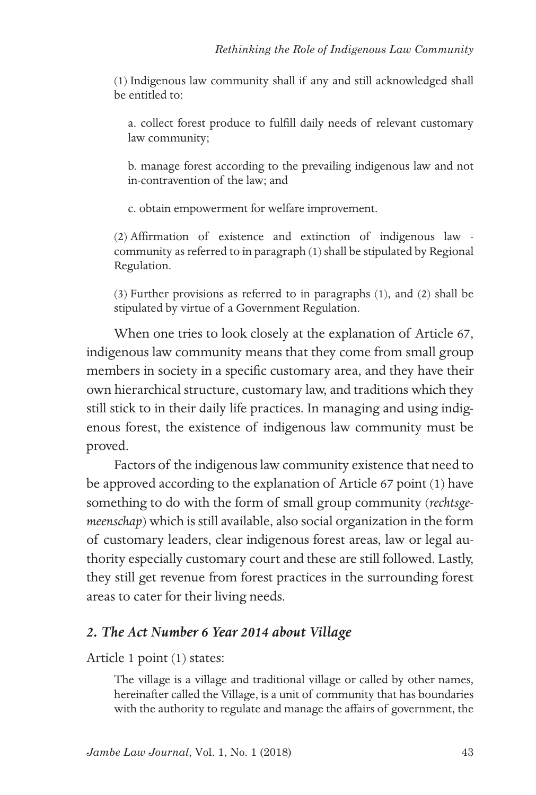(1) Indigenous law community shall if any and still acknowledged shall be entitled to:

a. collect forest produce to fulfill daily needs of relevant customary law community;

b. manage forest according to the prevailing indigenous law and not in-contravention of the law; and

c. obtain empowerment for welfare improvement.

(2) Affirmation of existence and extinction of indigenous law community as referred to in paragraph (1) shall be stipulated by Regional Regulation.

(3) Further provisions as referred to in paragraphs (1), and (2) shall be stipulated by virtue of a Government Regulation.

When one tries to look closely at the explanation of Article 67, indigenous law community means that they come from small group members in society in a specific customary area, and they have their own hierarchical structure, customary law, and traditions which they still stick to in their daily life practices. In managing and using indigenous forest, the existence of indigenous law community must be proved.

Factors of the indigenous law community existence that need to be approved according to the explanation of Article 67 point (1) have something to do with the form of small group community (*rechtsgemeenschap*) which is still available, also social organization in the form of customary leaders, clear indigenous forest areas, law or legal authority especially customary court and these are still followed. Lastly, they still get revenue from forest practices in the surrounding forest areas to cater for their living needs.

### *2. The Act Number 6 Year 2014 about Village*

Article 1 point (1) states:

The village is a village and traditional village or called by other names, hereinafter called the Village, is a unit of community that has boundaries with the authority to regulate and manage the affairs of government, the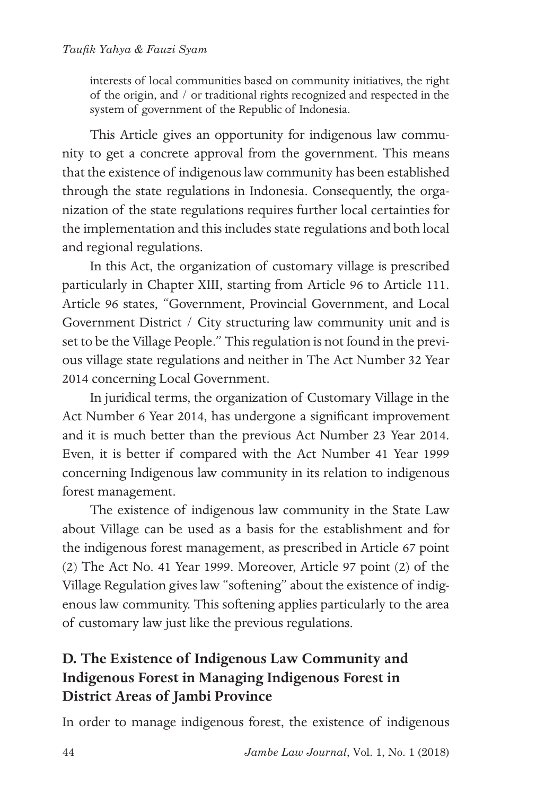interests of local communities based on community initiatives, the right of the origin, and / or traditional rights recognized and respected in the system of government of the Republic of Indonesia.

This Article gives an opportunity for indigenous law community to get a concrete approval from the government. This means that the existence of indigenous law community has been established through the state regulations in Indonesia. Consequently, the organization of the state regulations requires further local certainties for the implementation and this includes state regulations and both local and regional regulations.

In this Act, the organization of customary village is prescribed particularly in Chapter XIII, starting from Article 96 to Article 111. Article 96 states, "Government, Provincial Government, and Local Government District / City structuring law community unit and is set to be the Village People." This regulation is not found in the previous village state regulations and neither in The Act Number 32 Year 2014 concerning Local Government.

In juridical terms, the organization of Customary Village in the Act Number 6 Year 2014, has undergone a significant improvement and it is much better than the previous Act Number 23 Year 2014. Even, it is better if compared with the Act Number 41 Year 1999 concerning Indigenous law community in its relation to indigenous forest management.

The existence of indigenous law community in the State Law about Village can be used as a basis for the establishment and for the indigenous forest management, as prescribed in Article 67 point (2) The Act No. 41 Year 1999. Moreover, Article 97 point (2) of the Village Regulation gives law "softening" about the existence of indigenous law community. This softening applies particularly to the area of customary law just like the previous regulations.

## **D. The Existence of Indigenous Law Community and Indigenous Forest in Managing Indigenous Forest in District Areas of Jambi Province**

In order to manage indigenous forest, the existence of indigenous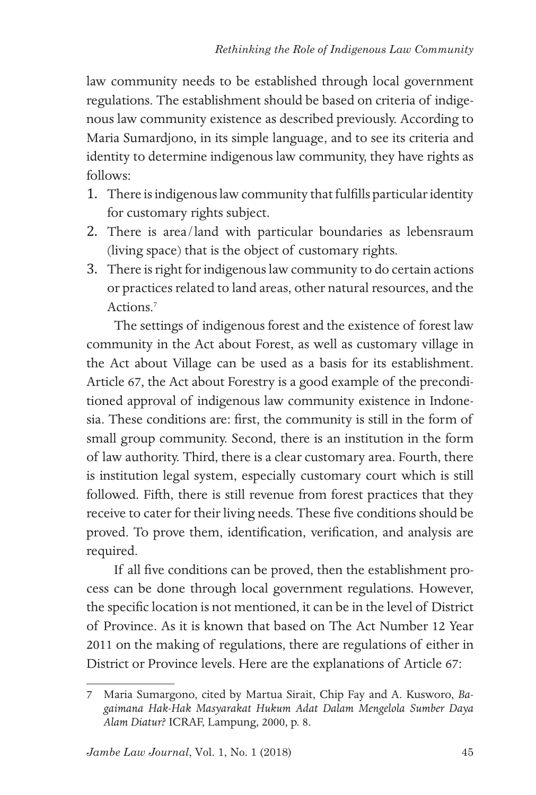law community needs to be established through local government regulations. The establishment should be based on criteria of indigenous law community existence as described previously. According to Maria Sumardjono, in its simple language, and to see its criteria and identity to determine indigenous law community, they have rights as follows:

- 1. There is indigenous law community that fulfills particular identity for customary rights subject.
- 2. There is area/land with particular boundaries as lebensraum (living space) that is the object of customary rights.
- 3. There is right for indigenous law community to do certain actions or practices related to land areas, other natural resources, and the Actions.<sup>7</sup>

The settings of indigenous forest and the existence of forest law community in the Act about Forest, as well as customary village in the Act about Village can be used as a basis for its establishment. Article 67, the Act about Forestry is a good example of the preconditioned approval of indigenous law community existence in Indonesia. These conditions are: first, the community is still in the form of small group community. Second, there is an institution in the form of law authority. Third, there is a clear customary area. Fourth, there is institution legal system, especially customary court which is still followed. Fifth, there is still revenue from forest practices that they receive to cater for their living needs. These five conditions should be proved. To prove them, identification, verification, and analysis are required.

If all five conditions can be proved, then the establishment process can be done through local government regulations. However, the specific location is not mentioned, it can be in the level of District of Province. As it is known that based on The Act Number 12 Year 2011 on the making of regulations, there are regulations of either in District or Province levels. Here are the explanations of Article 67:

<sup>7</sup> Maria Sumargono, cited by Martua Sirait, Chip Fay and A. Kusworo, *Bagaimana Hak-Hak Masyarakat Hukum Adat Dalam Mengelola Sumber Daya Alam Diatur?* ICRAF, Lampung, 2000, p. 8.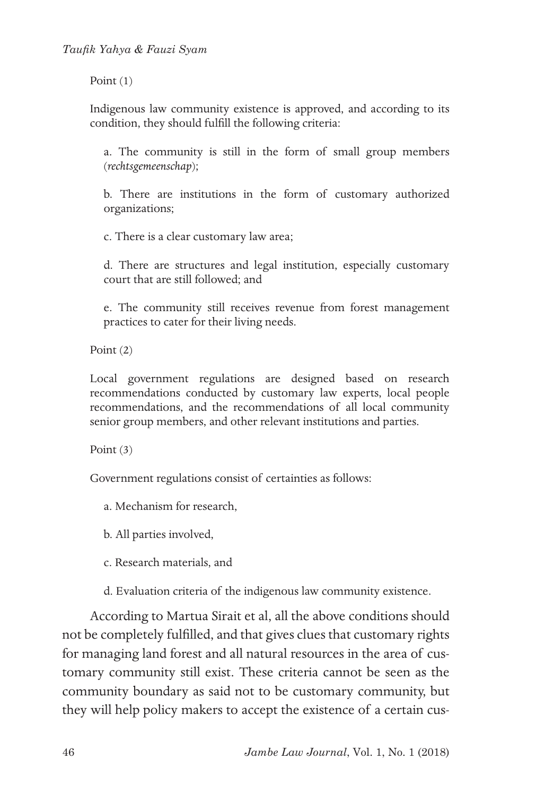Point (1)

Indigenous law community existence is approved, and according to its condition, they should fulfill the following criteria:

a. The community is still in the form of small group members (*rechtsgemeenschap*);

b. There are institutions in the form of customary authorized organizations;

c. There is a clear customary law area;

d. There are structures and legal institution, especially customary court that are still followed; and

e. The community still receives revenue from forest management practices to cater for their living needs.

Point (2)

Local government regulations are designed based on research recommendations conducted by customary law experts, local people recommendations, and the recommendations of all local community senior group members, and other relevant institutions and parties.

Point (3)

Government regulations consist of certainties as follows:

a. Mechanism for research,

b. All parties involved,

c. Research materials, and

d. Evaluation criteria of the indigenous law community existence.

According to Martua Sirait et al, all the above conditions should not be completely fulfilled, and that gives clues that customary rights for managing land forest and all natural resources in the area of customary community still exist. These criteria cannot be seen as the community boundary as said not to be customary community, but they will help policy makers to accept the existence of a certain cus-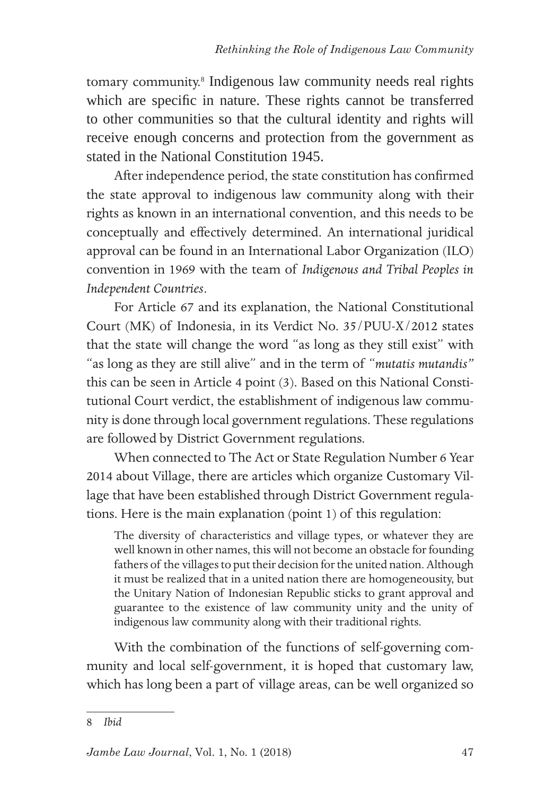tomary community.<sup>8</sup> Indigenous law community needs real rights which are specific in nature. These rights cannot be transferred to other communities so that the cultural identity and rights will receive enough concerns and protection from the government as stated in the National Constitution 1945.

After independence period, the state constitution has confirmed the state approval to indigenous law community along with their rights as known in an international convention, and this needs to be conceptually and effectively determined. An international juridical approval can be found in an International Labor Organization (ILO) convention in 1969 with the team of *Indigenous and Tribal Peoples in Independent Countries*.

For Article 67 and its explanation, the National Constitutional Court (MK) of Indonesia, in its Verdict No. 35/PUU-X/2012 states that the state will change the word "as long as they still exist" with "as long as they are still alive" and in the term of "*mutatis mutandis"* this can be seen in Article 4 point (3). Based on this National Constitutional Court verdict, the establishment of indigenous law community is done through local government regulations. These regulations are followed by District Government regulations.

When connected to The Act or State Regulation Number 6 Year 2014 about Village, there are articles which organize Customary Village that have been established through District Government regulations. Here is the main explanation (point 1) of this regulation:

The diversity of characteristics and village types, or whatever they are well known in other names, this will not become an obstacle for founding fathers of the villages to put their decision for the united nation. Although it must be realized that in a united nation there are homogeneousity, but the Unitary Nation of Indonesian Republic sticks to grant approval and guarantee to the existence of law community unity and the unity of indigenous law community along with their traditional rights.

With the combination of the functions of self-governing community and local self-government, it is hoped that customary law, which has long been a part of village areas, can be well organized so

<sup>8</sup> *Ibid*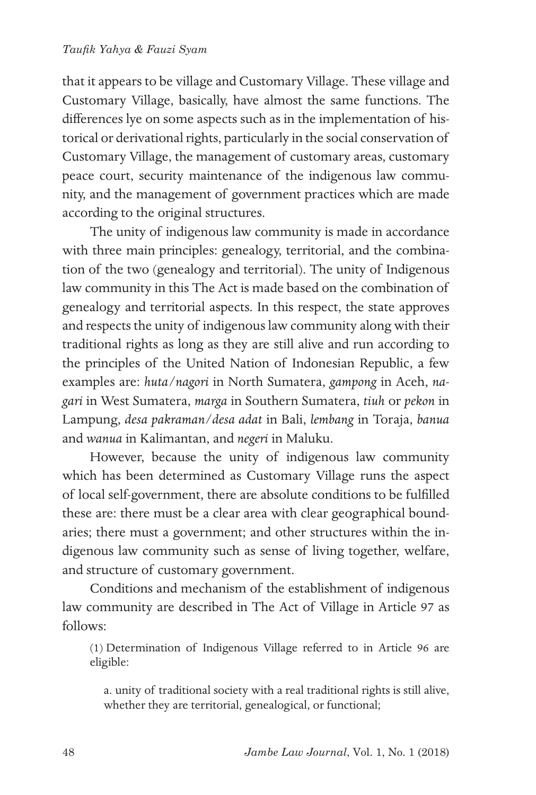that it appears to be village and Customary Village. These village and Customary Village, basically, have almost the same functions. The differences lye on some aspects such as in the implementation of historical or derivational rights, particularly in the social conservation of Customary Village, the management of customary areas, customary peace court, security maintenance of the indigenous law community, and the management of government practices which are made according to the original structures.

The unity of indigenous law community is made in accordance with three main principles: genealogy, territorial, and the combination of the two (genealogy and territorial). The unity of Indigenous law community in this The Act is made based on the combination of genealogy and territorial aspects. In this respect, the state approves and respects the unity of indigenous law community along with their traditional rights as long as they are still alive and run according to the principles of the United Nation of Indonesian Republic, a few examples are: *huta/nagori* in North Sumatera, *gampong* in Aceh, *nagari* in West Sumatera, *marga* in Southern Sumatera, *tiuh* or *pekon* in Lampung, *desa pakraman/desa adat* in Bali, *lembang* in Toraja, *banua* and *wanua* in Kalimantan, and *negeri* in Maluku.

However, because the unity of indigenous law community which has been determined as Customary Village runs the aspect of local self-government, there are absolute conditions to be fulfilled these are: there must be a clear area with clear geographical boundaries; there must a government; and other structures within the indigenous law community such as sense of living together, welfare, and structure of customary government.

Conditions and mechanism of the establishment of indigenous law community are described in The Act of Village in Article 97 as follows:

(1) Determination of Indigenous Village referred to in Article 96 are eligible:

a. unity of traditional society with a real traditional rights is still alive, whether they are territorial, genealogical, or functional;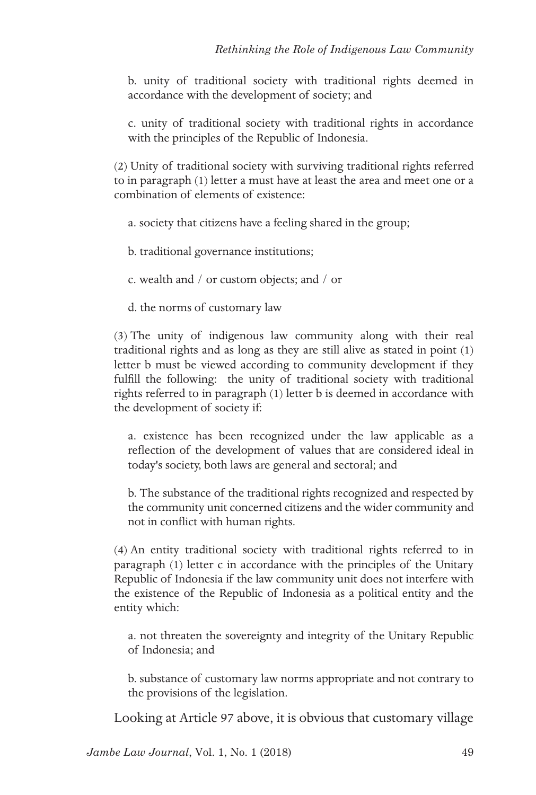b. unity of traditional society with traditional rights deemed in accordance with the development of society; and

c. unity of traditional society with traditional rights in accordance with the principles of the Republic of Indonesia.

(2) Unity of traditional society with surviving traditional rights referred to in paragraph (1) letter a must have at least the area and meet one or a combination of elements of existence:

- a. society that citizens have a feeling shared in the group;
- b. traditional governance institutions;
- c. wealth and / or custom objects; and / or
- d. the norms of customary law

(3) The unity of indigenous law community along with their real traditional rights and as long as they are still alive as stated in point (1) letter b must be viewed according to community development if they fulfill the following: the unity of traditional society with traditional rights referred to in paragraph (1) letter b is deemed in accordance with the development of society if:

a. existence has been recognized under the law applicable as a reflection of the development of values that are considered ideal in today's society, both laws are general and sectoral; and

b. The substance of the traditional rights recognized and respected by the community unit concerned citizens and the wider community and not in conflict with human rights.

(4) An entity traditional society with traditional rights referred to in paragraph (1) letter c in accordance with the principles of the Unitary Republic of Indonesia if the law community unit does not interfere with the existence of the Republic of Indonesia as a political entity and the entity which:

a. not threaten the sovereignty and integrity of the Unitary Republic of Indonesia; and

b. substance of customary law norms appropriate and not contrary to the provisions of the legislation.

Looking at Article 97 above, it is obvious that customary village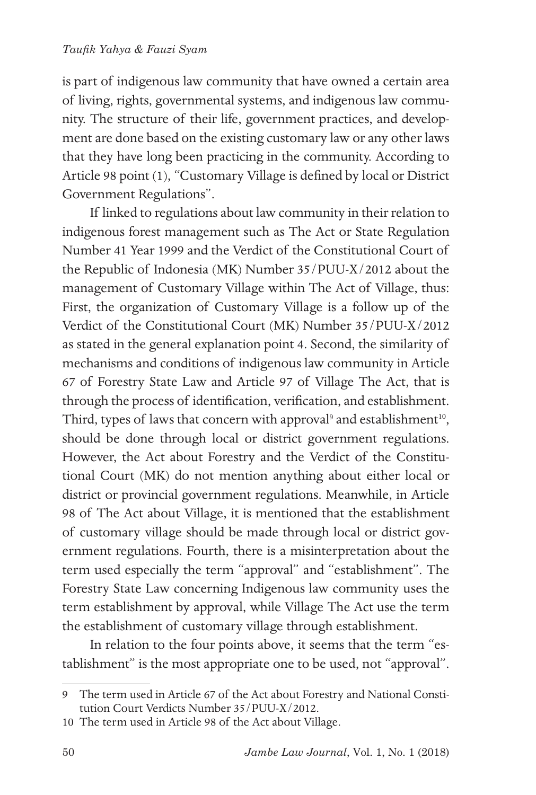is part of indigenous law community that have owned a certain area of living, rights, governmental systems, and indigenous law community. The structure of their life, government practices, and development are done based on the existing customary law or any other laws that they have long been practicing in the community. According to Article 98 point (1), "Customary Village is defined by local or District Government Regulations".

If linked to regulations about law community in their relation to indigenous forest management such as The Act or State Regulation Number 41 Year 1999 and the Verdict of the Constitutional Court of the Republic of Indonesia (MK) Number 35/PUU-X/2012 about the management of Customary Village within The Act of Village, thus: First, the organization of Customary Village is a follow up of the Verdict of the Constitutional Court (MK) Number 35/PUU-X/2012 as stated in the general explanation point 4. Second, the similarity of mechanisms and conditions of indigenous law community in Article 67 of Forestry State Law and Article 97 of Village The Act, that is through the process of identification, verification, and establishment. Third, types of laws that concern with approval<sup>9</sup> and establishment<sup>10</sup>, should be done through local or district government regulations. However, the Act about Forestry and the Verdict of the Constitutional Court (MK) do not mention anything about either local or district or provincial government regulations. Meanwhile, in Article 98 of The Act about Village, it is mentioned that the establishment of customary village should be made through local or district government regulations. Fourth, there is a misinterpretation about the term used especially the term "approval" and "establishment". The Forestry State Law concerning Indigenous law community uses the term establishment by approval, while Village The Act use the term the establishment of customary village through establishment.

In relation to the four points above, it seems that the term "establishment" is the most appropriate one to be used, not "approval".

<sup>9</sup> The term used in Article 67 of the Act about Forestry and National Constitution Court Verdicts Number 35/PUU-X/2012.

<sup>10</sup> The term used in Article 98 of the Act about Village.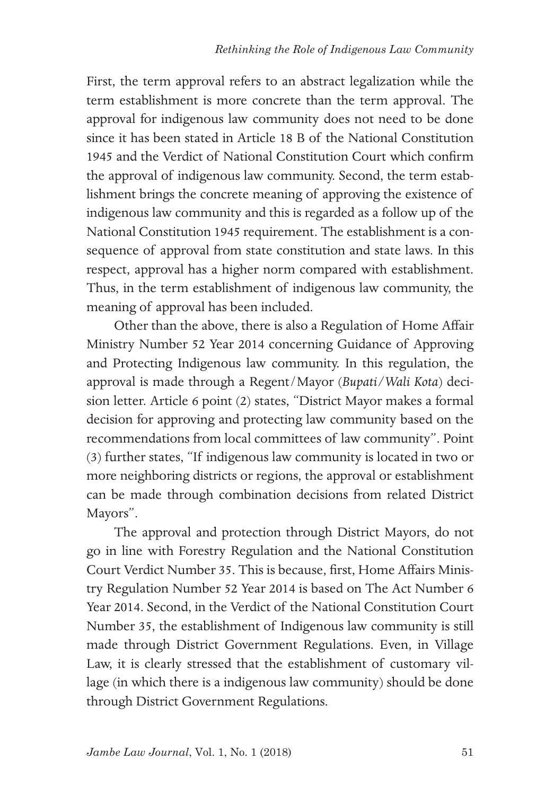First, the term approval refers to an abstract legalization while the term establishment is more concrete than the term approval. The approval for indigenous law community does not need to be done since it has been stated in Article 18 B of the National Constitution 1945 and the Verdict of National Constitution Court which confirm the approval of indigenous law community. Second, the term establishment brings the concrete meaning of approving the existence of indigenous law community and this is regarded as a follow up of the National Constitution 1945 requirement. The establishment is a consequence of approval from state constitution and state laws. In this respect, approval has a higher norm compared with establishment. Thus, in the term establishment of indigenous law community, the meaning of approval has been included.

Other than the above, there is also a Regulation of Home Affair Ministry Number 52 Year 2014 concerning Guidance of Approving and Protecting Indigenous law community. In this regulation, the approval is made through a Regent/Mayor (*Bupati/Wali Kota*) decision letter. Article 6 point (2) states, "District Mayor makes a formal decision for approving and protecting law community based on the recommendations from local committees of law community". Point (3) further states, "If indigenous law community is located in two or more neighboring districts or regions, the approval or establishment can be made through combination decisions from related District Mayors".

The approval and protection through District Mayors, do not go in line with Forestry Regulation and the National Constitution Court Verdict Number 35. This is because, first, Home Affairs Ministry Regulation Number 52 Year 2014 is based on The Act Number 6 Year 2014. Second, in the Verdict of the National Constitution Court Number 35, the establishment of Indigenous law community is still made through District Government Regulations. Even, in Village Law, it is clearly stressed that the establishment of customary village (in which there is a indigenous law community) should be done through District Government Regulations.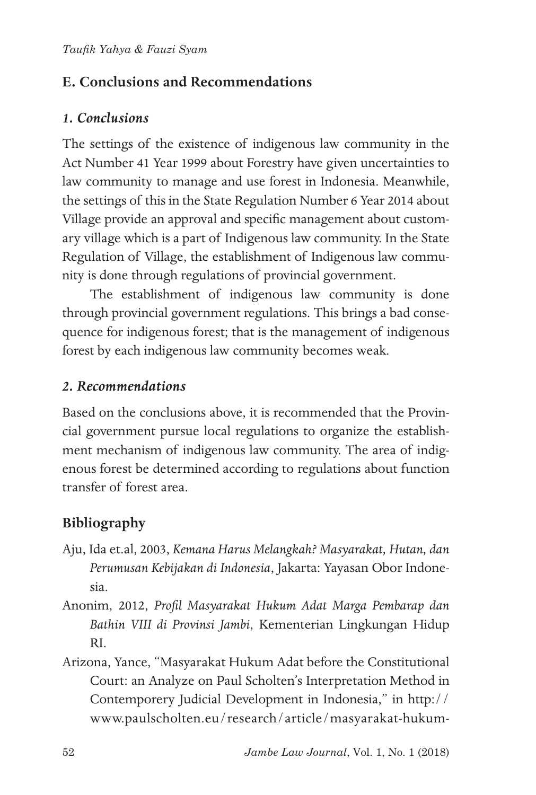## **E. Conclusions and Recommendations**

### *1. Conclusions*

The settings of the existence of indigenous law community in the Act Number 41 Year 1999 about Forestry have given uncertainties to law community to manage and use forest in Indonesia. Meanwhile, the settings of this in the State Regulation Number 6 Year 2014 about Village provide an approval and specific management about customary village which is a part of Indigenous law community. In the State Regulation of Village, the establishment of Indigenous law community is done through regulations of provincial government.

The establishment of indigenous law community is done through provincial government regulations. This brings a bad consequence for indigenous forest; that is the management of indigenous forest by each indigenous law community becomes weak.

### *2. Recommendations*

Based on the conclusions above, it is recommended that the Provincial government pursue local regulations to organize the establishment mechanism of indigenous law community. The area of indigenous forest be determined according to regulations about function transfer of forest area.

## **Bibliography**

- Aju, Ida et.al, 2003, *Kemana Harus Melangkah? Masyarakat, Hutan, dan Perumusan Kebijakan di Indonesia*, Jakarta: Yayasan Obor Indonesia.
- Anonim, 2012, *Profil Masyarakat Hukum Adat Marga Pembarap dan Bathin VIII di Provinsi Jambi*, Kementerian Lingkungan Hidup RI.
- Arizona, Yance, "Masyarakat Hukum Adat before the Constitutional Court: an Analyze on Paul Scholten's Interpretation Method in Contemporery Judicial Development in Indonesia," in http:// www.paulscholten.eu/research/article/masyarakat-hukum-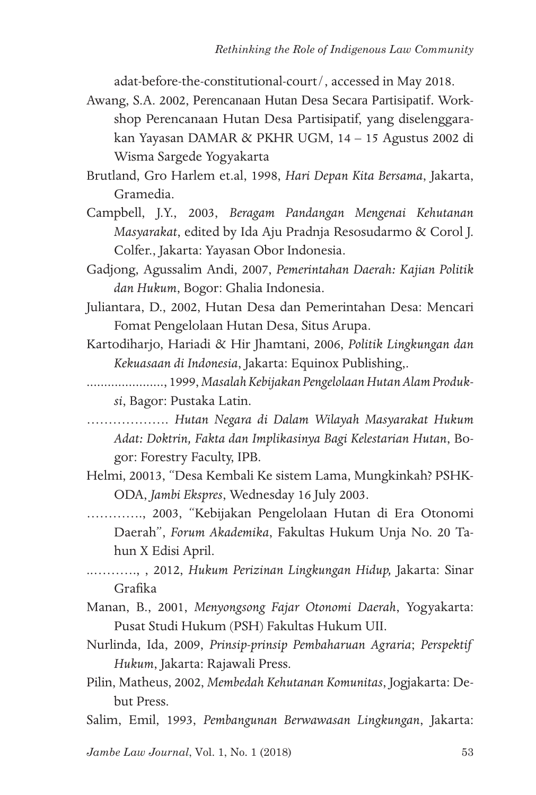adat-before-the-constitutional-court/, accessed in May 2018.

- Awang, S.A. 2002, Perencanaan Hutan Desa Secara Partisipatif. Workshop Perencanaan Hutan Desa Partisipatif, yang diselenggarakan Yayasan DAMAR & PKHR UGM, 14 – 15 Agustus 2002 di Wisma Sargede Yogyakarta
- Brutland, Gro Harlem et.al, 1998, *Hari Depan Kita Bersama*, Jakarta, Gramedia.
- Campbell, J.Y., 2003, *Beragam Pandangan Mengenai Kehutanan Masyarakat*, edited by Ida Aju Pradnja Resosudarmo & Corol J. Colfer., Jakarta: Yayasan Obor Indonesia.
- Gadjong, Agussalim Andi, 2007, *Pemerintahan Daerah: Kajian Politik dan Hukum*, Bogor: Ghalia Indonesia.
- Juliantara, D., 2002, Hutan Desa dan Pemerintahan Desa: Mencari Fomat Pengelolaan Hutan Desa, Situs Arupa.
- Kartodiharjo, Hariadi & Hir Jhamtani, 2006, *Politik Lingkungan dan Kekuasaan di Indonesia*, Jakarta: Equinox Publishing,.
- ......................, 1999, *Masalah Kebijakan Pengelolaan Hutan Alam Produksi*, Bagor: Pustaka Latin.
- ………………. *Hutan Negara di Dalam Wilayah Masyarakat Hukum Adat: Doktrin, Fakta dan Implikasinya Bagi Kelestarian Hutan*, Bogor: Forestry Faculty, IPB.
- Helmi, 20013, "Desa Kembali Ke sistem Lama, Mungkinkah? PSHK-ODA, *Jambi Ekspres*, Wednesday 16 July 2003.
- …………., 2003, "Kebijakan Pengelolaan Hutan di Era Otonomi Daerah", *Forum Akademika*, Fakultas Hukum Unja No. 20 Tahun X Edisi April.
- ..………., , 2012, *Hukum Perizinan Lingkungan Hidup,* Jakarta: Sinar Grafika
- Manan, B., 2001, *Menyongsong Fajar Otonomi Daerah*, Yogyakarta: Pusat Studi Hukum (PSH) Fakultas Hukum UII.
- Nurlinda, Ida, 2009, *Prinsip-prinsip Pembaharuan Agraria*; *Perspektif Hukum*, Jakarta: Rajawali Press.
- Pilin, Matheus, 2002, *Membedah Kehutanan Komunitas*, Jogjakarta: Debut Press.
- Salim, Emil, 1993, *Pembangunan Berwawasan Lingkungan*, Jakarta:

*Jambe Law Journal*, Vol. 1, No. 1 (2018)